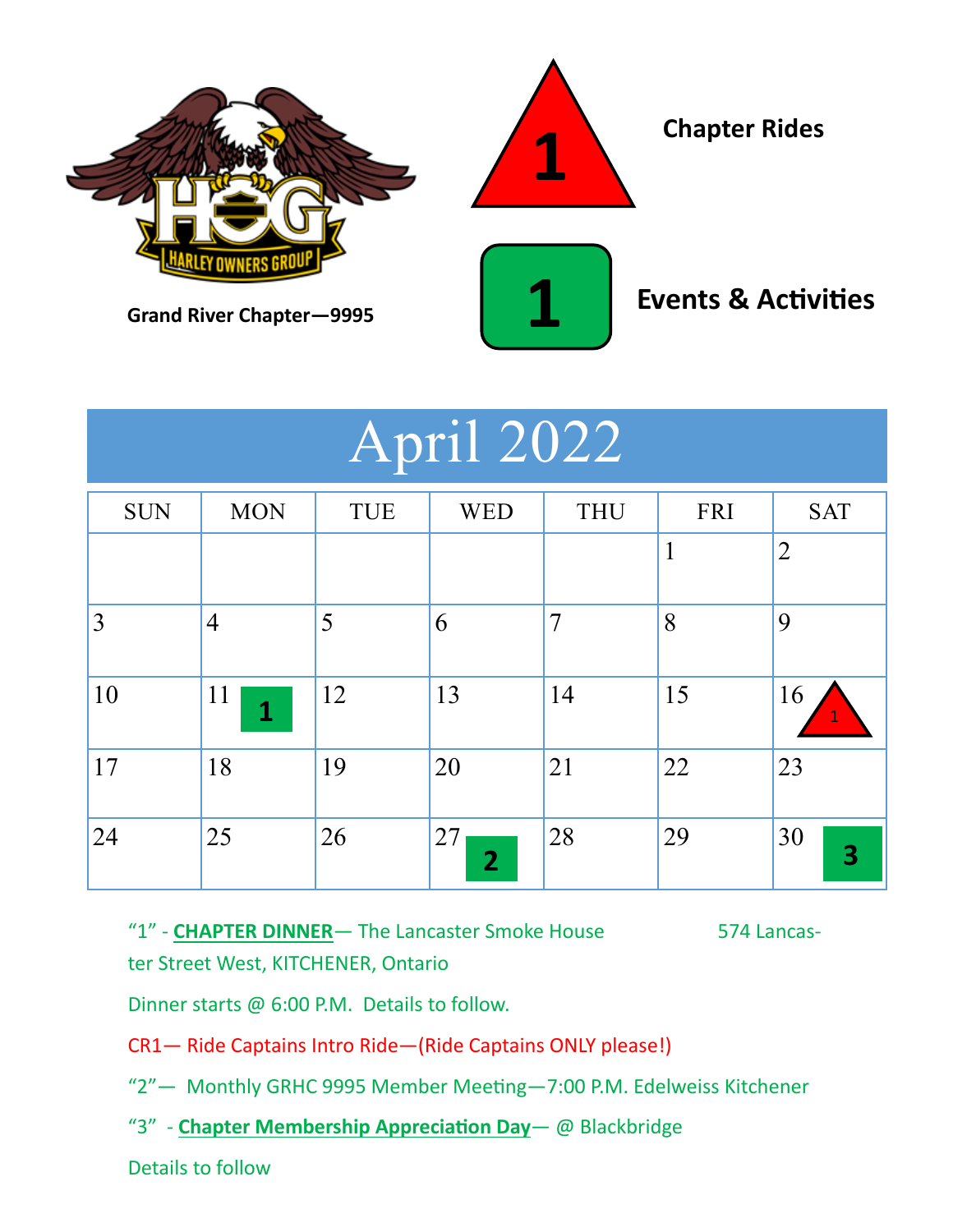

# April 2022

| <b>SUN</b> | <b>MON</b>     | TUE | <b>WED</b>           | <b>THU</b>     | <b>FRI</b>   | <b>SAT</b>                    |
|------------|----------------|-----|----------------------|----------------|--------------|-------------------------------|
|            |                |     |                      |                | $\mathbf{1}$ | $\overline{2}$                |
| 3          | $\overline{4}$ | 5   | 6                    | $\overline{7}$ | 8            | 9                             |
| 10         | 11<br>1        | 12  | 13                   | 14             | 15           | 16<br>$\mathbf{1}$            |
| 17         | 18             | 19  | 20                   | 21             | 22           | 23                            |
| 24         | 25             | 26  | 27<br>$\overline{2}$ | 28             | 29           | 30<br>$\overline{\mathbf{3}}$ |

"1" - **CHAPTER DINNER**— The Lancaster Smoke House 574 Lancaster Street West, KITCHENER, Ontario

Dinner starts @ 6:00 P.M. Details to follow.

CR1— Ride Captains Intro Ride—(Ride Captains ONLY please!)

"2"— Monthly GRHC 9995 Member Meeting—7:00 P.M. Edelweiss Kitchener

"3" - **Chapter Membership Appreciation Day**— @ Blackbridge

Details to follow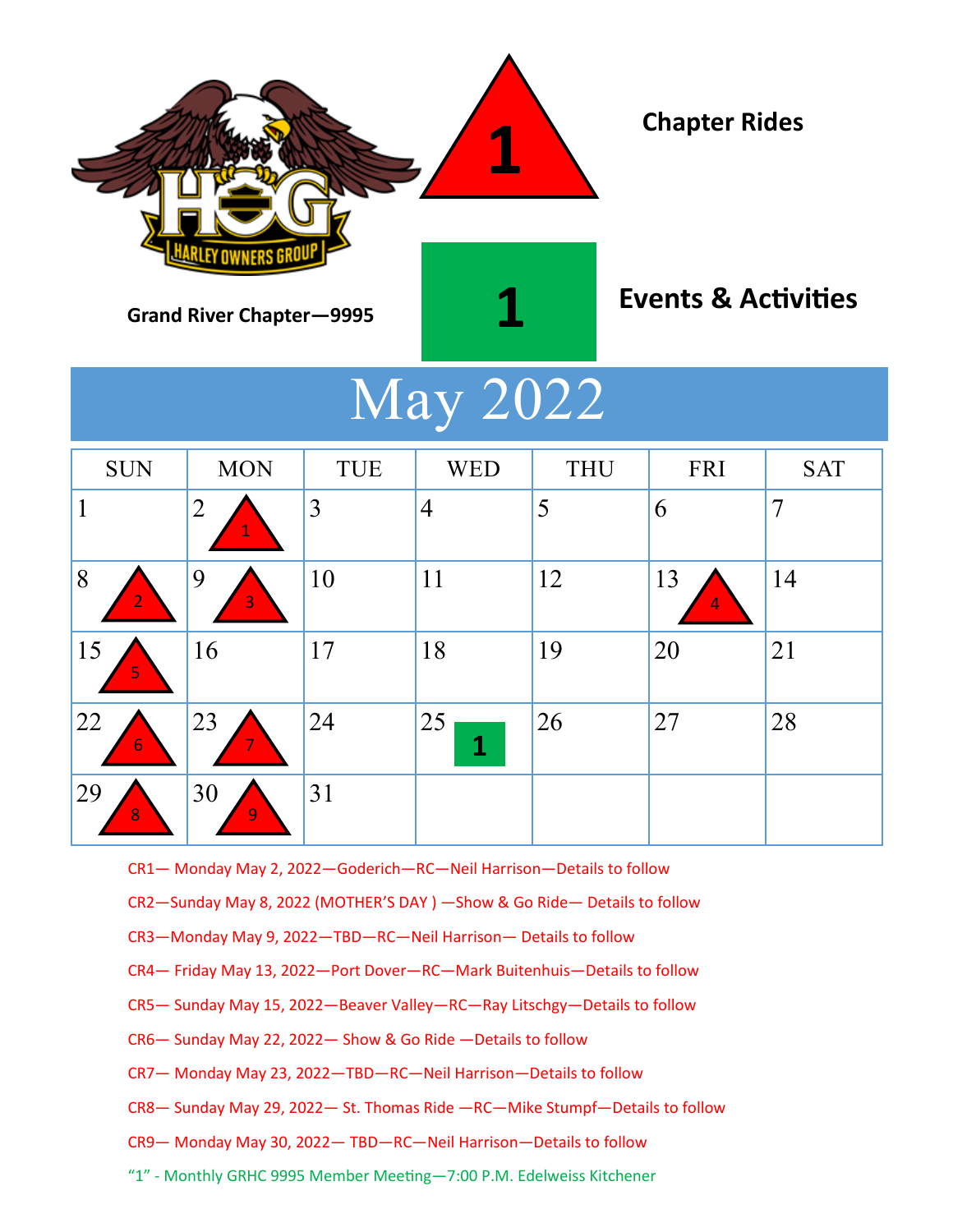

# May 2022

| <b>SUN</b>          | <b>MON</b>           | <b>TUE</b> | <b>WED</b>     | <b>THU</b> | FRI                | <b>SAT</b>     |
|---------------------|----------------------|------------|----------------|------------|--------------------|----------------|
|                     | $\overline{2}$       | 3          | $\overline{4}$ | 5          | 6                  | $\overline{7}$ |
| 8<br>$\overline{2}$ | $\overline{9}$<br>3  | 10         | 11             | 12         | <sup>13</sup><br>4 | 14             |
| 15<br>5             | 16                   | 17         | 18             | 19         | 20                 | 21             |
| 22<br>6             | 23                   | 24         | 25<br>1        | 26         | 27                 | 28             |
| 29<br>8             | 30<br>$\overline{9}$ | 31         |                |            |                    |                |

CR1— Monday May 2, 2022—Goderich—RC—Neil Harrison—Details to follow

CR2—Sunday May 8, 2022 (MOTHER'S DAY ) —Show & Go Ride— Details to follow

- CR3—Monday May 9, 2022—TBD—RC—Neil Harrison— Details to follow
- CR4— Friday May 13, 2022—Port Dover—RC—Mark Buitenhuis—Details to follow
- CR5— Sunday May 15, 2022—Beaver Valley—RC—Ray Litschgy—Details to follow
- CR6— Sunday May 22, 2022— Show & Go Ride —Details to follow
- CR7— Monday May 23, 2022—TBD—RC—Neil Harrison—Details to follow
- CR8— Sunday May 29, 2022— St. Thomas Ride —RC—Mike Stumpf—Details to follow
- CR9— Monday May 30, 2022— TBD—RC—Neil Harrison—Details to follow
- "1" Monthly GRHC 9995 Member Meeting—7:00 P.M. Edelweiss Kitchener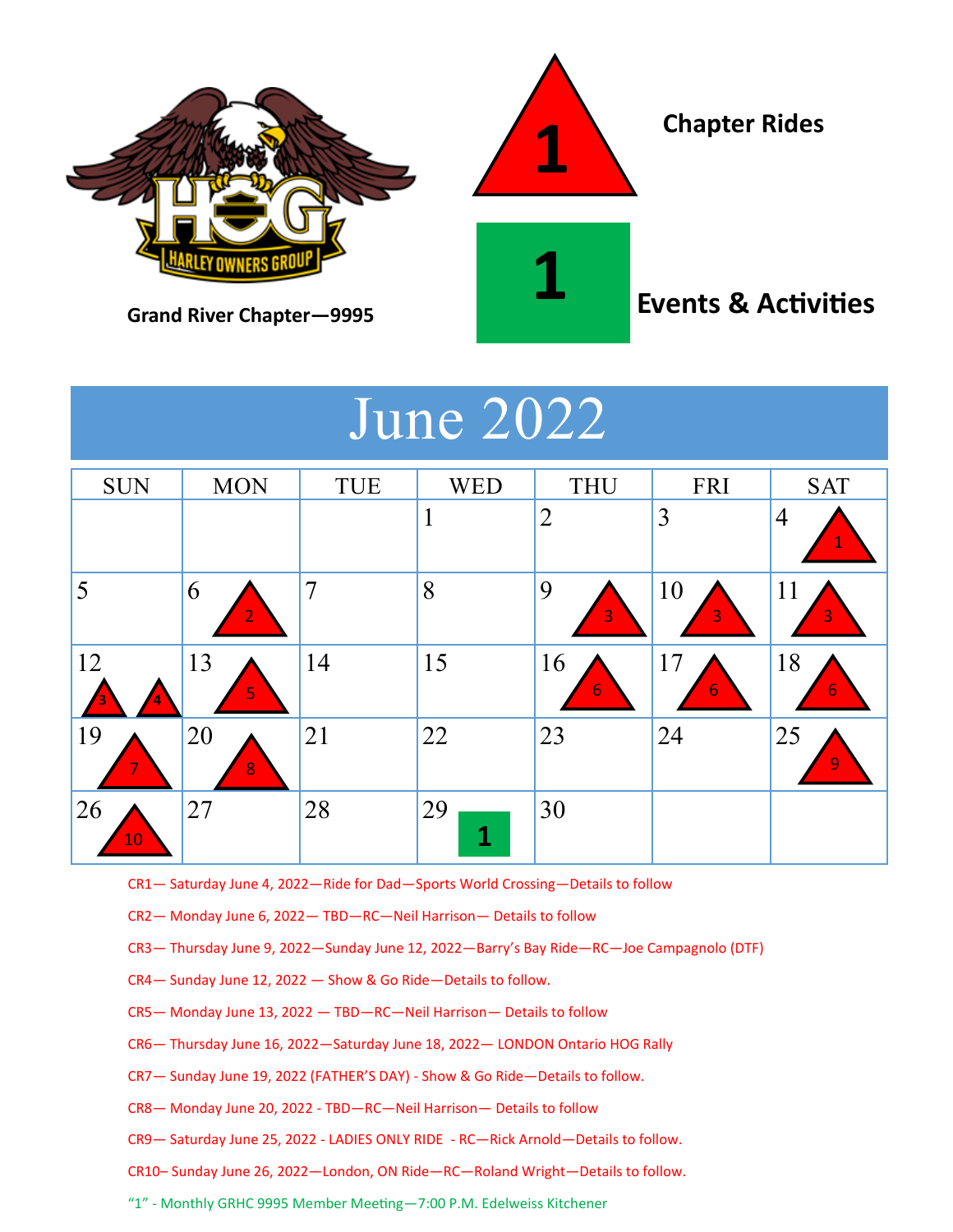

## June 2022

| <b>SUN</b>      | <b>MON</b>          | TUE            | <b>WED</b>         | <b>THU</b>     | <b>FRI</b> | <b>SAT</b>           |
|-----------------|---------------------|----------------|--------------------|----------------|------------|----------------------|
|                 |                     |                |                    | $\overline{2}$ | 3          | $\overline{4}$<br>1  |
| 5               | 6<br>$\overline{2}$ | $\overline{7}$ | 8                  | 9<br>3         | 10<br>3    | 11<br>$\overline{3}$ |
| 12              | 13<br>5             | 14             | 15                 | 16<br>6        | 17<br>6    | 18<br>$\overline{6}$ |
| 19              | 20<br>8             | 21             | 22                 | 23             | 24         | 25<br>$\overline{9}$ |
| <b>26</b><br>10 | 27                  | 28             | 29<br>$\mathbf{1}$ | 30             |            |                      |

CR1— Saturday June 4, 2022—Ride for Dad—Sports World Crossing—Details to follow

CR2— Monday June 6, 2022— TBD—RC—Neil Harrison— Details to follow

CR3— Thursday June 9, 2022—Sunday June 12, 2022—Barry's Bay Ride—RC—Joe Campagnolo (DTF)

CR4— Sunday June 12, 2022 — Show & Go Ride—Details to follow.

CR5— Monday June 13, 2022 — TBD—RC—Neil Harrison— Details to follow

- CR6— Thursday June 16, 2022—Saturday June 18, 2022— LONDON Ontario HOG Rally
- CR7— Sunday June 19, 2022 (FATHER'S DAY) Show & Go Ride—Details to follow.
- CR8— Monday June 20, 2022 TBD—RC—Neil Harrison— Details to follow
- CR9— Saturday June 25, 2022 LADIES ONLY RIDE RC—Rick Arnold—Details to follow.

CR10– Sunday June 26, 2022—London, ON Ride—RC—Roland Wright—Details to follow.

"1" - Monthly GRHC 9995 Member Meeting—7:00 P.M. Edelweiss Kitchener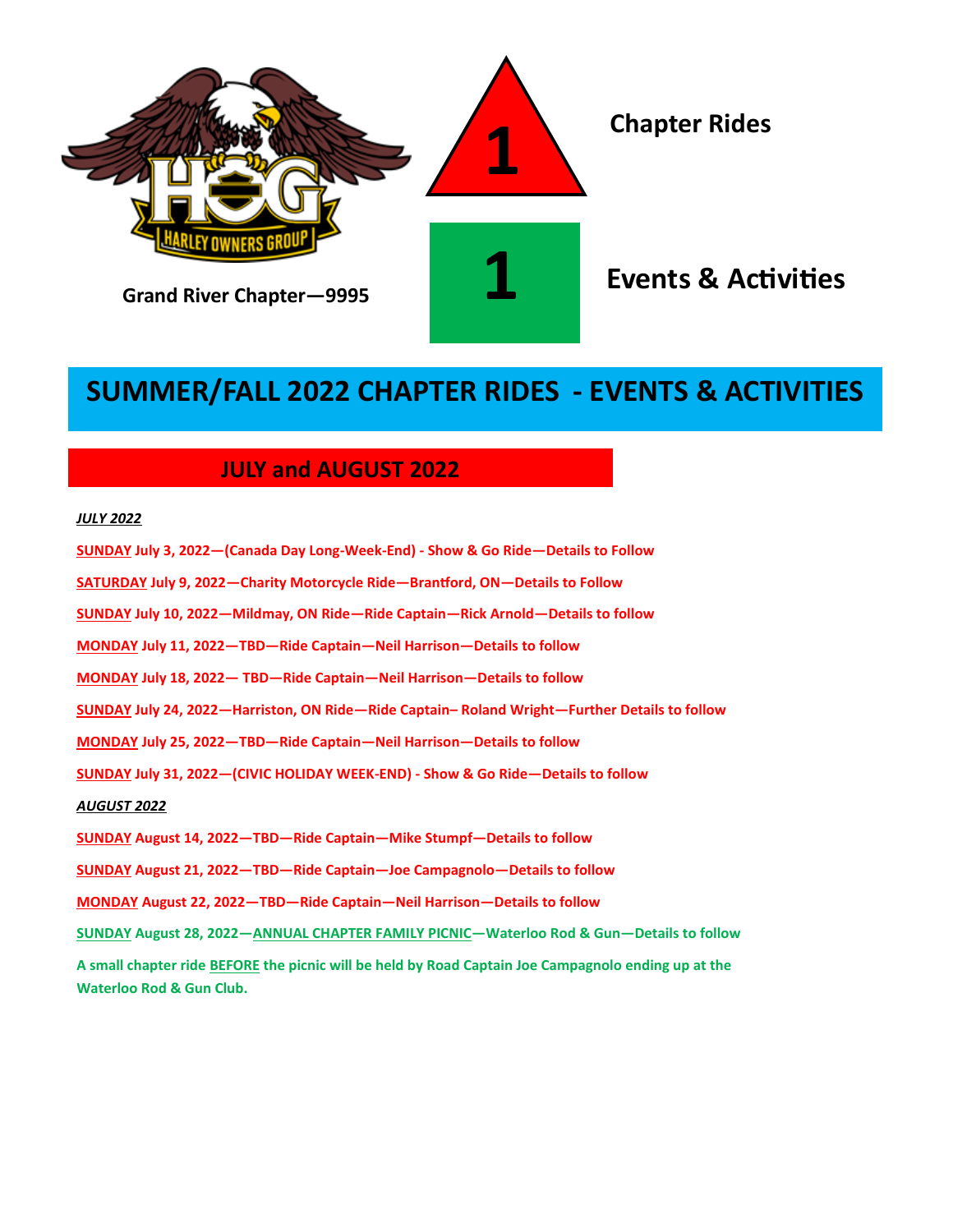

## **SUMMER/FALL 2022 CHAPTER RIDES - EVENTS & ACTIVITIES**

### **JULY and AUGUST 2022**

#### *JULY 2022*

| SUNDAY July 3, 2022—(Canada Day Long-Week-End) - Show & Go Ride—Details to Follow                                                          |
|--------------------------------------------------------------------------------------------------------------------------------------------|
| SATURDAY July 9, 2022—Charity Motorcycle Ride—Brantford, ON—Details to Follow                                                              |
| SUNDAY July 10, 2022—Mildmay, ON Ride—Ride Captain—Rick Arnold—Details to follow                                                           |
| MONDAY July 11, 2022—TBD—Ride Captain—Neil Harrison—Details to follow                                                                      |
| MONDAY July 18, 2022— TBD—Ride Captain—Neil Harrison—Details to follow                                                                     |
| SUNDAY July 24, 2022—Harriston, ON Ride—Ride Captain-Roland Wright—Further Details to follow                                               |
| MONDAY July 25, 2022—TBD—Ride Captain—Neil Harrison—Details to follow                                                                      |
| SUNDAY July 31, 2022-(CIVIC HOLIDAY WEEK-END) - Show & Go Ride-Details to follow                                                           |
| <u>AUGUST 2022 </u>                                                                                                                        |
| SUNDAY August 14, 2022—TBD—Ride Captain—Mike Stumpf—Details to follow                                                                      |
| <u>SUNDAY</u> August 21, 2022—TBD—Ride Captain—Joe Campagnolo—Details to follow                                                            |
| MONDAY August 22, 2022—TBD—Ride Captain—Neil Harrison—Details to follow                                                                    |
| SUNDAY August 28, 2022—ANNUAL CHAPTER FAMILY PICNIC—Waterloo Rod & Gun—Details to follow                                                   |
| A small chapter ride BEFORE the picnic will be held by Road Captain Joe Campagnolo ending up at the<br><b>Waterloo Rod &amp; Gun Club.</b> |
|                                                                                                                                            |